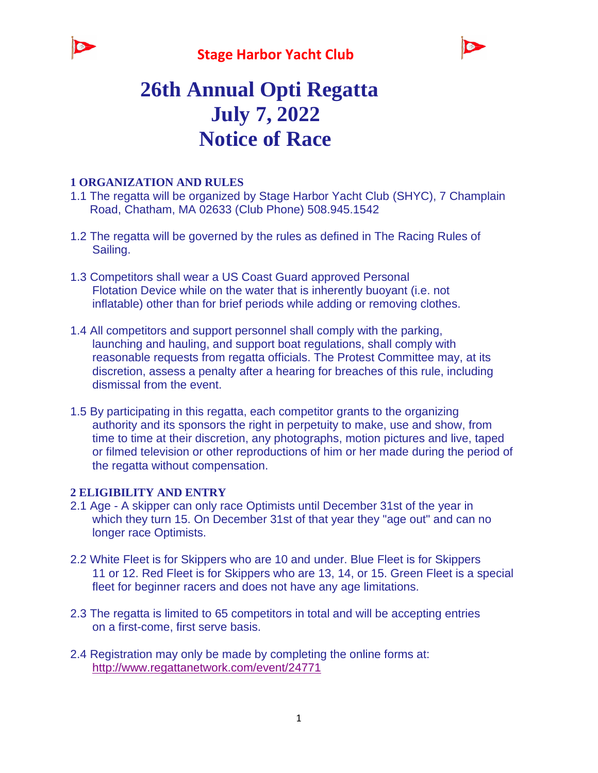



# **26th Annual Opti Regatta July 7, 2022 Notice of Race**

# **1 ORGANIZATION AND RULES**

- 1.1 The regatta will be organized by Stage Harbor Yacht Club (SHYC), 7 Champlain Road, Chatham, MA 02633 (Club Phone) 508.945.1542
- 1.2 The regatta will be governed by the rules as defined in The Racing Rules of Sailing.
- 1.3 Competitors shall wear a US Coast Guard approved Personal Flotation Device while on the water that is inherently buoyant (i.e. not inflatable) other than for brief periods while adding or removing clothes.
- 1.4 All competitors and support personnel shall comply with the parking, launching and hauling, and support boat regulations, shall comply with reasonable requests from regatta officials. The Protest Committee may, at its discretion, assess a penalty after a hearing for breaches of this rule, including dismissal from the event.
- 1.5 By participating in this regatta, each competitor grants to the organizing authority and its sponsors the right in perpetuity to make, use and show, from time to time at their discretion, any photographs, motion pictures and live, taped or filmed television or other reproductions of him or her made during the period of the regatta without compensation.

#### **2 ELIGIBILITY AND ENTRY**

- 2.1 Age A skipper can only race Optimists until December 31st of the year in which they turn 15. On December 31st of that year they "age out" and can no longer race Optimists.
- 2.2 White Fleet is for Skippers who are 10 and under. Blue Fleet is for Skippers 11 or 12. Red Fleet is for Skippers who are 13, 14, or 15. Green Fleet is a special fleet for beginner racers and does not have any age limitations.
- 2.3 The regatta is limited to 65 competitors in total and will be accepting entries on a first-come, first serve basis.
- 2.4 Registration may only be made by completing the online forms at: <http://www.regattanetwork.com/event/24771>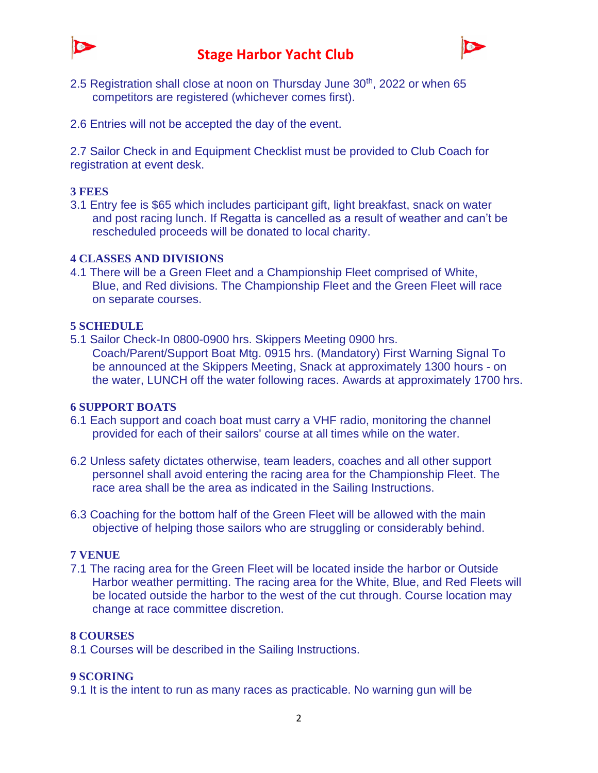



- 2.5 Registration shall close at noon on Thursday June 30<sup>th</sup>, 2022 or when 65 competitors are registered (whichever comes first).
- 2.6 Entries will not be accepted the day of the event.

2.7 Sailor Check in and Equipment Checklist must be provided to Club Coach for registration at event desk.

#### **3 FEES**

3.1 Entry fee is \$65 which includes participant gift, light breakfast, snack on water and post racing lunch. If Regatta is cancelled as a result of weather and can't be rescheduled proceeds will be donated to local charity.

#### **4 CLASSES AND DIVISIONS**

4.1 There will be a Green Fleet and a Championship Fleet comprised of White, Blue, and Red divisions. The Championship Fleet and the Green Fleet will race on separate courses.

#### **5 SCHEDULE**

5.1 Sailor Check-In 0800-0900 hrs. Skippers Meeting 0900 hrs. Coach/Parent/Support Boat Mtg. 0915 hrs. (Mandatory) First Warning Signal To be announced at the Skippers Meeting, Snack at approximately 1300 hours - on the water, LUNCH off the water following races. Awards at approximately 1700 hrs.

#### **6 SUPPORT BOATS**

- 6.1 Each support and coach boat must carry a VHF radio, monitoring the channel provided for each of their sailors' course at all times while on the water.
- 6.2 Unless safety dictates otherwise, team leaders, coaches and all other support personnel shall avoid entering the racing area for the Championship Fleet. The race area shall be the area as indicated in the Sailing Instructions.
- 6.3 Coaching for the bottom half of the Green Fleet will be allowed with the main objective of helping those sailors who are struggling or considerably behind.

#### **7 VENUE**

7.1 The racing area for the Green Fleet will be located inside the harbor or Outside Harbor weather permitting. The racing area for the White, Blue, and Red Fleets will be located outside the harbor to the west of the cut through. Course location may change at race committee discretion.

#### **8 COURSES**

8.1 Courses will be described in the Sailing Instructions.

# **9 SCORING**

9.1 It is the intent to run as many races as practicable. No warning gun will be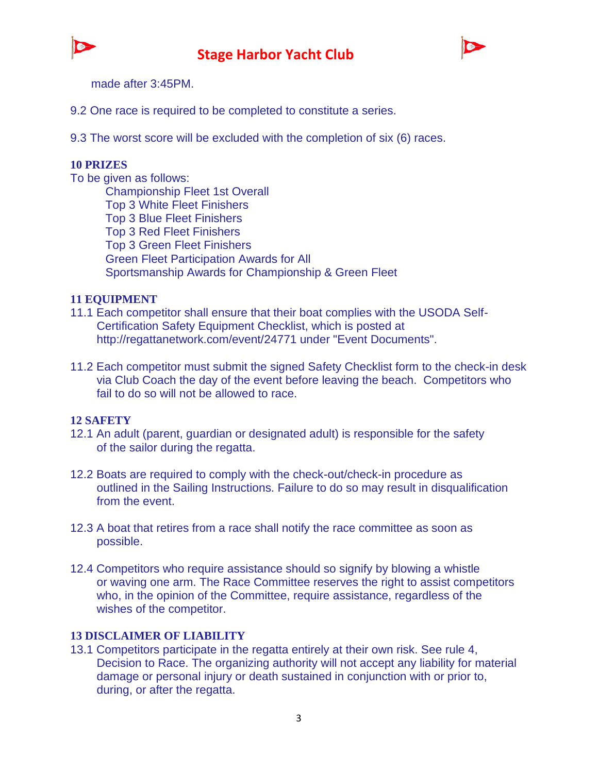





made after 3:45PM.

9.2 One race is required to be completed to constitute a series.

9.3 The worst score will be excluded with the completion of six (6) races.

#### **10 PRIZES**

To be given as follows:

Championship Fleet 1st Overall Top 3 White Fleet Finishers Top 3 Blue Fleet Finishers Top 3 Red Fleet Finishers Top 3 Green Fleet Finishers Green Fleet Participation Awards for All Sportsmanship Awards for Championship & Green Fleet

#### **11 EQUIPMENT**

- 11.1 Each competitor shall ensure that their boat complies with the USODA Self-Certification Safety Equipment Checklist, which is posted at http://regattanetwork.com/event/24771 under "Event Documents".
- 11.2 Each competitor must submit the signed Safety Checklist form to the check-in desk via Club Coach the day of the event before leaving the beach. Competitors who fail to do so will not be allowed to race.

# **12 SAFETY**

- 12.1 An adult (parent, guardian or designated adult) is responsible for the safety of the sailor during the regatta.
- 12.2 Boats are required to comply with the check-out/check-in procedure as outlined in the Sailing Instructions. Failure to do so may result in disqualification from the event.
- 12.3 A boat that retires from a race shall notify the race committee as soon as possible.
- 12.4 Competitors who require assistance should so signify by blowing a whistle or waving one arm. The Race Committee reserves the right to assist competitors who, in the opinion of the Committee, require assistance, regardless of the wishes of the competitor.

# **13 DISCLAIMER OF LIABILITY**

13.1 Competitors participate in the regatta entirely at their own risk. See rule 4, Decision to Race. The organizing authority will not accept any liability for material damage or personal injury or death sustained in conjunction with or prior to, during, or after the regatta.